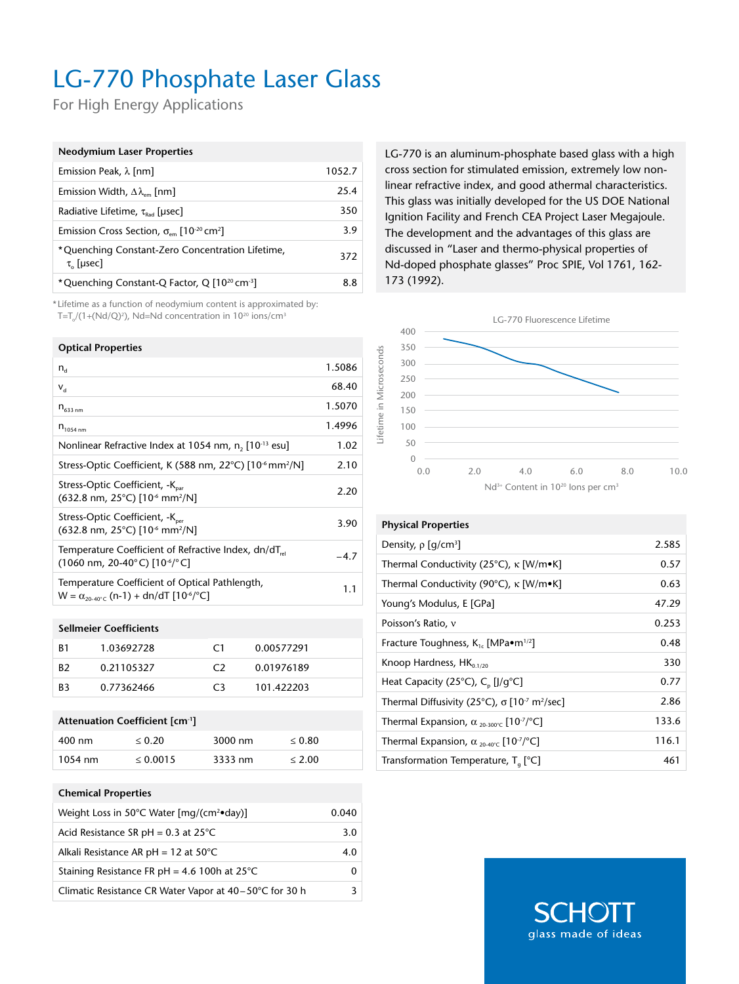## LG-770 Phosphate Laser Glass

For High Energy Applications

| <b>Neodymium Laser Properties</b>                                                 |        |
|-----------------------------------------------------------------------------------|--------|
| Emission Peak, $\lambda$ [nm]                                                     | 1052.7 |
| Emission Width, $\Delta\lambda_{\text{em}}$ [nm]                                  | 25.4   |
| Radiative Lifetime, $\tau_{\text{Rad}}$ [µsec]                                    | 350    |
| Emission Cross Section, $\sigma_{\text{em}}$ [10 <sup>-20</sup> cm <sup>2</sup> ] | 3.9    |
| *Quenching Constant-Zero Concentration Lifetime,<br>$\tau_{0}$ [µsec]             | 372    |
| *Quenching Constant-Q Factor, Q [10 <sup>20</sup> cm <sup>-3</sup> ]              | 8.8    |

\* Lifetime as a function of neodymium content is approximated by: T=T $_0$ /(1+(Nd/Q)<sup>2</sup>), Nd=Nd concentration in 10<sup>20</sup> ions/cm<sup>3</sup>

### **Optical Properties**

| $n_{\rm d}$                                                                                                                                | 1.5086 |
|--------------------------------------------------------------------------------------------------------------------------------------------|--------|
| $V_{\rm d}$                                                                                                                                | 68.40  |
| $n_{633\,nm}$                                                                                                                              | 1.5070 |
| $n_{1054 \text{ nm}}$                                                                                                                      | 1.4996 |
| Nonlinear Refractive Index at 1054 nm, n, [10 <sup>-13</sup> esu]                                                                          | 1.02   |
| Stress-Optic Coefficient, K (588 nm, 22°C) [10 <sup>-6</sup> mm <sup>2</sup> /N]                                                           | 2.10   |
| Stress-Optic Coefficient, -K <sub>par</sub><br>$(632.8 \text{ nm}, 25^{\circ} \text{C})$ [10 <sup>-6</sup> mm <sup>2</sup> /N]             | 2.20   |
| Stress-Optic Coefficient, -K <sub>ner</sub><br>$(632.8 \text{ nm}, 25^{\circ} \text{C})$ [10 <sup>-6</sup> mm <sup>2</sup> /N]             | 3.90   |
| Temperature Coefficient of Refractive Index, dn/dT <sub>rel</sub><br>$(1060 \text{ nm}, 20-40^{\circ} \text{C})$ $[10^{-6}$ / $^{\circ}$ C | $-4.7$ |
| Temperature Coefficient of Optical Pathlength,<br>$W = \alpha_{20.40\degree}$ (n-1) + dn/dT [10 <sup>-6</sup> / <sup>o</sup> C]            | 1.1    |

#### **Sellmeier Coefficients**

| B1             | 1.03692728 | $\mathsf{C}1$  | 0.00577291 |
|----------------|------------|----------------|------------|
| R <sub>2</sub> | 0.21105327 | C <sub>2</sub> | 0.01976189 |
| B3             | 0.77362466 | C3             | 101.422203 |

#### **Attenuation Coefficient [cm-1]**

| 400 nm    | < 0.20        | $3000 \text{ nm}$ | $\leq 0.80$ |
|-----------|---------------|-------------------|-------------|
| $1054$ nm | $\leq 0.0015$ | 3333 nm           | $\leq 2.00$ |

#### **Chemical Properties**

| Weight Loss in 50°C Water [mg/(cm <sup>2</sup> •day)]  | 0.040 |
|--------------------------------------------------------|-------|
| Acid Resistance SR pH = $0.3$ at 25 $^{\circ}$ C       | 3.0   |
| Alkali Resistance AR pH = $12$ at $50^{\circ}$ C       | 4.0   |
| Staining Resistance FR pH = 4.6 100h at $25^{\circ}$ C |       |
| Climatic Resistance CR Water Vapor at 40–50°C for 30 h | 3     |

LG-770 is an aluminum-phosphate based glass with a high cross section for stimulated emission, extremely low nonlinear refractive index, and good athermal characteristics. This glass was initially developed for the US DOE National Ignition Facility and French CEA Project Laser Megajoule. The development and the advantages of this glass are discussed in "Laser and thermo-physical properties of Nd-doped phosphate glasses" Proc SPIE, Vol 1761, 162- 173 (1992).



### **Physical Properties** Density, ρ [g/cm<sup>3</sup>] Thermal Conductivity (25°C), κ [W/m•K] 0.57 Thermal Conductivity (90°C), κ [W/m•K] 0.63

| THEITIM CONGUCTIVITY (50 C), K $ VV $                                         | u.uj  |
|-------------------------------------------------------------------------------|-------|
| Young's Modulus, E [GPa]                                                      | 47.29 |
| Poisson's Ratio, v                                                            | 0.253 |
| Fracture Toughness, $K_{1c}$ [MPa $\bullet$ m <sup>1/2</sup> ]                | 0.48  |
| Knoop Hardness, $HK_{0.1/20}$                                                 | 330   |
| Heat Capacity (25 $^{\circ}$ C), C <sub>n</sub> [J/q $^{\circ}$ C]            | 0.77  |
| Thermal Diffusivity (25°C), σ [10 <sup>-7</sup> m <sup>2</sup> /sec]          | 2.86  |
| Thermal Expansion, $\alpha_{20,300\degree}$ [10 <sup>-7</sup> / $^{\circ}$ C] | 133.6 |
| Thermal Expansion, $\alpha_{20.40\degree}$ [10 <sup>-7</sup> / $^{\circ}$ C]  | 116.1 |
| Transformation Temperature, $T_a$ [°C]                                        | 461   |

**SCHO** glass made of ideas ] 2.585